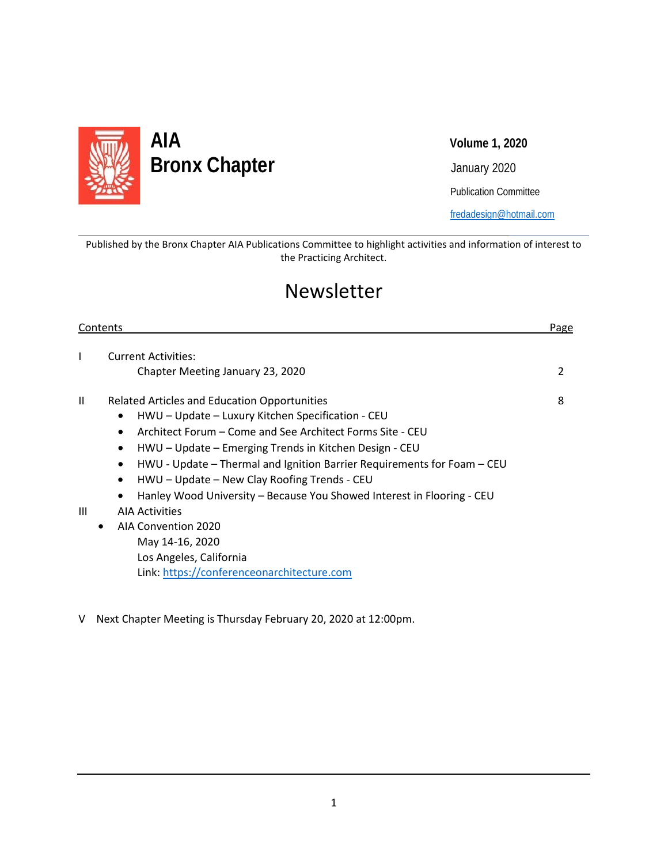

l

# **AIA Volume 1, 2020 Bronx Chapter** January 2020

Publication Committee

[fredadesign@hotmail.com](mailto:fredadesign@hotmail.com)

Published by the Bronx Chapter AIA Publications Committee to highlight activities and information of interest to the Practicing Architect.

## Newsletter

| Contents |                                                                                                                                                                                                                                                                                                                                                                                                                                                                                                                                                                  | Page |  |
|----------|------------------------------------------------------------------------------------------------------------------------------------------------------------------------------------------------------------------------------------------------------------------------------------------------------------------------------------------------------------------------------------------------------------------------------------------------------------------------------------------------------------------------------------------------------------------|------|--|
| ı        | <b>Current Activities:</b><br>Chapter Meeting January 23, 2020                                                                                                                                                                                                                                                                                                                                                                                                                                                                                                   | 2    |  |
| II<br>Ш  | <b>Related Articles and Education Opportunities</b><br>HWU - Update - Luxury Kitchen Specification - CEU<br>Architect Forum – Come and See Architect Forms Site - CEU<br>$\bullet$<br>HWU - Update - Emerging Trends in Kitchen Design - CEU<br>$\bullet$<br>HWU - Update – Thermal and Ignition Barrier Requirements for Foam – CEU<br>$\bullet$<br>HWU - Update - New Clay Roofing Trends - CEU<br>$\bullet$<br>Hanley Wood University - Because You Showed Interest in Flooring - CEU<br>٠<br><b>AIA Activities</b><br>AIA Convention 2020<br>May 14-16, 2020 | 8    |  |
|          | Los Angeles, California<br>Link: https://conferenceonarchitecture.com                                                                                                                                                                                                                                                                                                                                                                                                                                                                                            |      |  |

V Next Chapter Meeting is Thursday February 20, 2020 at 12:00pm.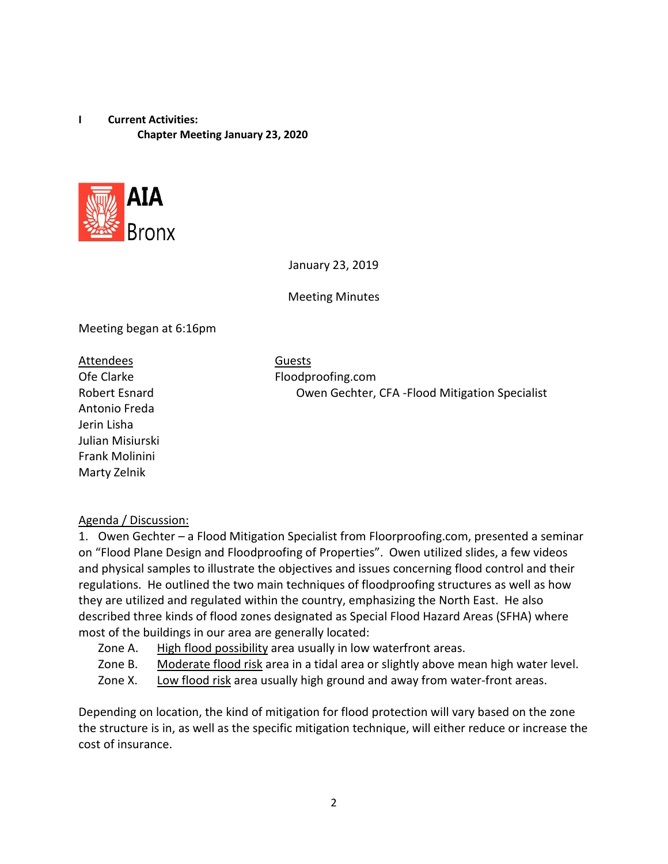**I Current Activities: Chapter Meeting January 23, 2020**



January 23, 2019

Meeting Minutes

Meeting began at 6:16pm

Attendees Guests Antonio Freda Jerin Lisha Julian Misiurski Frank Molinini Marty Zelnik

Ofe Clarke **Floodproofing.com** Robert Esnard Owen Gechter, CFA -Flood Mitigation Specialist

#### Agenda / Discussion:

1. Owen Gechter – a Flood Mitigation Specialist from Floorproofing.com, presented a seminar on "Flood Plane Design and Floodproofing of Properties". Owen utilized slides, a few videos and physical samples to illustrate the objectives and issues concerning flood control and their regulations. He outlined the two main techniques of floodproofing structures as well as how they are utilized and regulated within the country, emphasizing the North East. He also described three kinds of flood zones designated as Special Flood Hazard Areas (SFHA) where most of the buildings in our area are generally located:

- Zone A. High flood possibility area usually in low waterfront areas.
- Zone B. Moderate flood risk area in a tidal area or slightly above mean high water level.
- Zone X. Low flood risk area usually high ground and away from water-front areas.

Depending on location, the kind of mitigation for flood protection will vary based on the zone the structure is in, as well as the specific mitigation technique, will either reduce or increase the cost of insurance.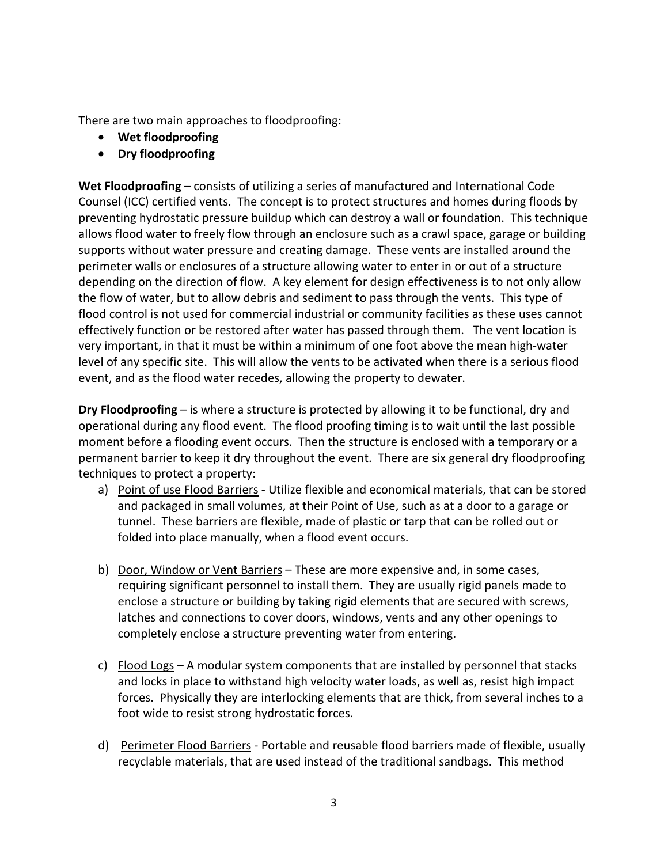There are two main approaches to floodproofing:

- **Wet floodproofing**
- **Dry floodproofing**

**Wet Floodproofing** – consists of utilizing a series of manufactured and International Code Counsel (ICC) certified vents. The concept is to protect structures and homes during floods by preventing hydrostatic pressure buildup which can destroy a wall or foundation. This technique allows flood water to freely flow through an enclosure such as a crawl space, garage or building supports without water pressure and creating damage. These vents are installed around the perimeter walls or enclosures of a structure allowing water to enter in or out of a structure depending on the direction of flow. A key element for design effectiveness is to not only allow the flow of water, but to allow debris and sediment to pass through the vents. This type of flood control is not used for commercial industrial or community facilities as these uses cannot effectively function or be restored after water has passed through them. The vent location is very important, in that it must be within a minimum of one foot above the mean high-water level of any specific site. This will allow the vents to be activated when there is a serious flood event, and as the flood water recedes, allowing the property to dewater.

**Dry Floodproofing** – is where a structure is protected by allowing it to be functional, dry and operational during any flood event. The flood proofing timing is to wait until the last possible moment before a flooding event occurs. Then the structure is enclosed with a temporary or a permanent barrier to keep it dry throughout the event. There are six general dry floodproofing techniques to protect a property:

- a) Point of use Flood Barriers Utilize flexible and economical materials, that can be stored and packaged in small volumes, at their Point of Use, such as at a door to a garage or tunnel. These barriers are flexible, made of plastic or tarp that can be rolled out or folded into place manually, when a flood event occurs.
- b) Door, Window or Vent Barriers These are more expensive and, in some cases, requiring significant personnel to install them. They are usually rigid panels made to enclose a structure or building by taking rigid elements that are secured with screws, latches and connections to cover doors, windows, vents and any other openings to completely enclose a structure preventing water from entering.
- c) Flood Logs A modular system components that are installed by personnel that stacks and locks in place to withstand high velocity water loads, as well as, resist high impact forces. Physically they are interlocking elements that are thick, from several inches to a foot wide to resist strong hydrostatic forces.
- d) Perimeter Flood Barriers Portable and reusable flood barriers made of flexible, usually recyclable materials, that are used instead of the traditional sandbags. This method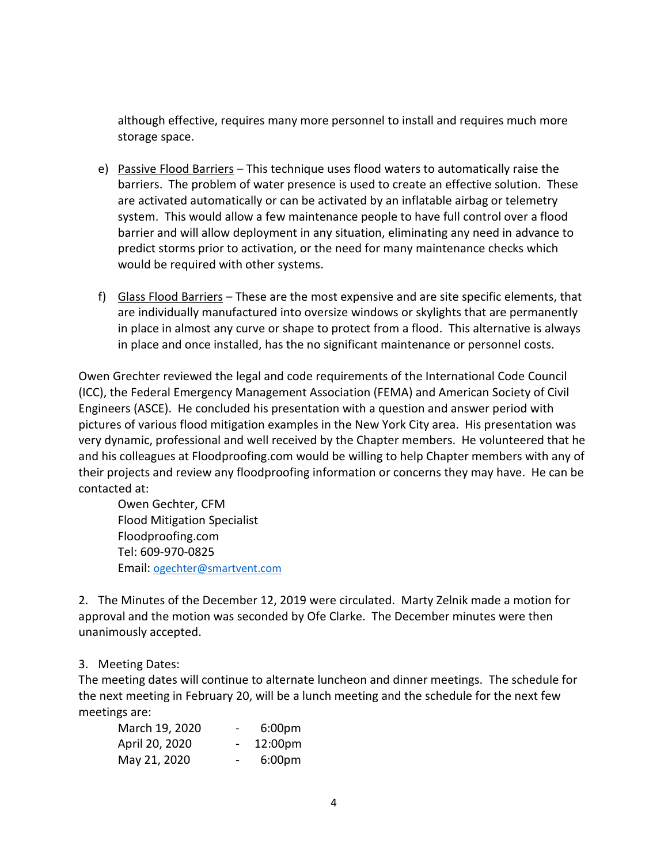although effective, requires many more personnel to install and requires much more storage space.

- e) Passive Flood Barriers This technique uses flood waters to automatically raise the barriers. The problem of water presence is used to create an effective solution. These are activated automatically or can be activated by an inflatable airbag or telemetry system. This would allow a few maintenance people to have full control over a flood barrier and will allow deployment in any situation, eliminating any need in advance to predict storms prior to activation, or the need for many maintenance checks which would be required with other systems.
- f) Glass Flood Barriers These are the most expensive and are site specific elements, that are individually manufactured into oversize windows or skylights that are permanently in place in almost any curve or shape to protect from a flood. This alternative is always in place and once installed, has the no significant maintenance or personnel costs.

Owen Grechter reviewed the legal and code requirements of the International Code Council (ICC), the Federal Emergency Management Association (FEMA) and American Society of Civil Engineers (ASCE). He concluded his presentation with a question and answer period with pictures of various flood mitigation examples in the New York City area. His presentation was very dynamic, professional and well received by the Chapter members. He volunteered that he and his colleagues at Floodproofing.com would be willing to help Chapter members with any of their projects and review any floodproofing information or concerns they may have. He can be contacted at:

Owen Gechter, CFM Flood Mitigation Specialist Floodproofing.com Tel: 609-970-0825 Email: [ogechter@smartvent.com](mailto:ogechter@smartvent.com)

2. The Minutes of the December 12, 2019 were circulated. Marty Zelnik made a motion for approval and the motion was seconded by Ofe Clarke. The December minutes were then unanimously accepted.

## 3. Meeting Dates:

The meeting dates will continue to alternate luncheon and dinner meetings. The schedule for the next meeting in February 20, will be a lunch meeting and the schedule for the next few meetings are:

| March 19, 2020 | -                        | 6:00 <sub>pm</sub>  |
|----------------|--------------------------|---------------------|
| April 20, 2020 | $\sim$                   | 12:00 <sub>pm</sub> |
| May 21, 2020   | $\overline{\phantom{0}}$ | 6:00 <sub>pm</sub>  |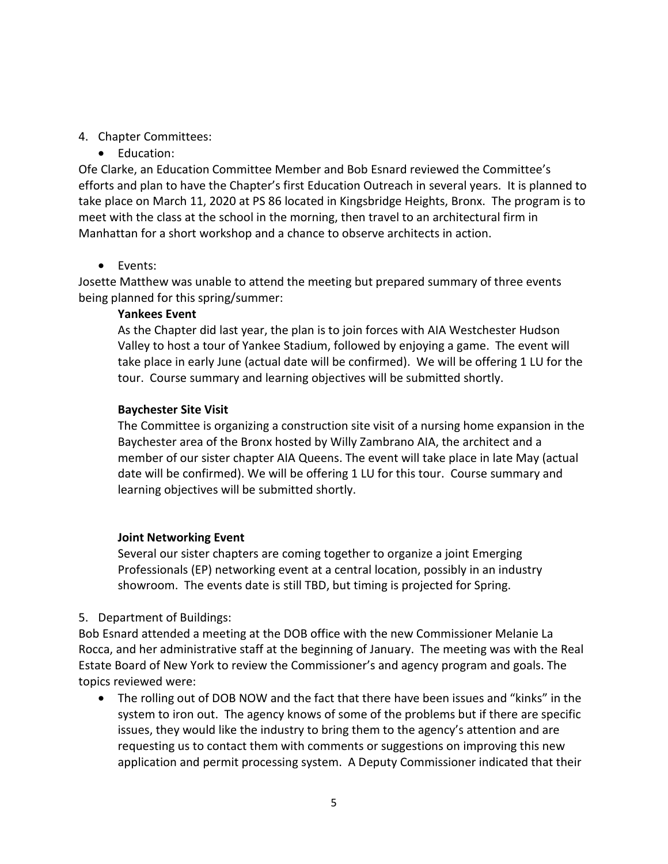- 4. Chapter Committees:
	- Education:

Ofe Clarke, an Education Committee Member and Bob Esnard reviewed the Committee's efforts and plan to have the Chapter's first Education Outreach in several years. It is planned to take place on March 11, 2020 at PS 86 located in Kingsbridge Heights, Bronx. The program is to meet with the class at the school in the morning, then travel to an architectural firm in Manhattan for a short workshop and a chance to observe architects in action.

• Events:

Josette Matthew was unable to attend the meeting but prepared summary of three events being planned for this spring/summer:

#### **Yankees Event**

As the Chapter did last year, the plan is to join forces with AIA Westchester Hudson Valley to host a tour of Yankee Stadium, followed by enjoying a game. The event will take place in early June (actual date will be confirmed). We will be offering 1 LU for the tour. Course summary and learning objectives will be submitted shortly.

## **Baychester Site Visit**

The Committee is organizing a construction site visit of a nursing home expansion in the Baychester area of the Bronx hosted by Willy Zambrano AIA, the architect and a member of our sister chapter AIA Queens. The event will take place in late May (actual date will be confirmed). We will be offering 1 LU for this tour. Course summary and learning objectives will be submitted shortly.

## **Joint Networking Event**

Several our sister chapters are coming together to organize a joint Emerging Professionals (EP) networking event at a central location, possibly in an industry showroom. The events date is still TBD, but timing is projected for Spring.

## 5. Department of Buildings:

Bob Esnard attended a meeting at the DOB office with the new Commissioner Melanie La Rocca, and her administrative staff at the beginning of January. The meeting was with the Real Estate Board of New York to review the Commissioner's and agency program and goals. The topics reviewed were:

• The rolling out of DOB NOW and the fact that there have been issues and "kinks" in the system to iron out. The agency knows of some of the problems but if there are specific issues, they would like the industry to bring them to the agency's attention and are requesting us to contact them with comments or suggestions on improving this new application and permit processing system. A Deputy Commissioner indicated that their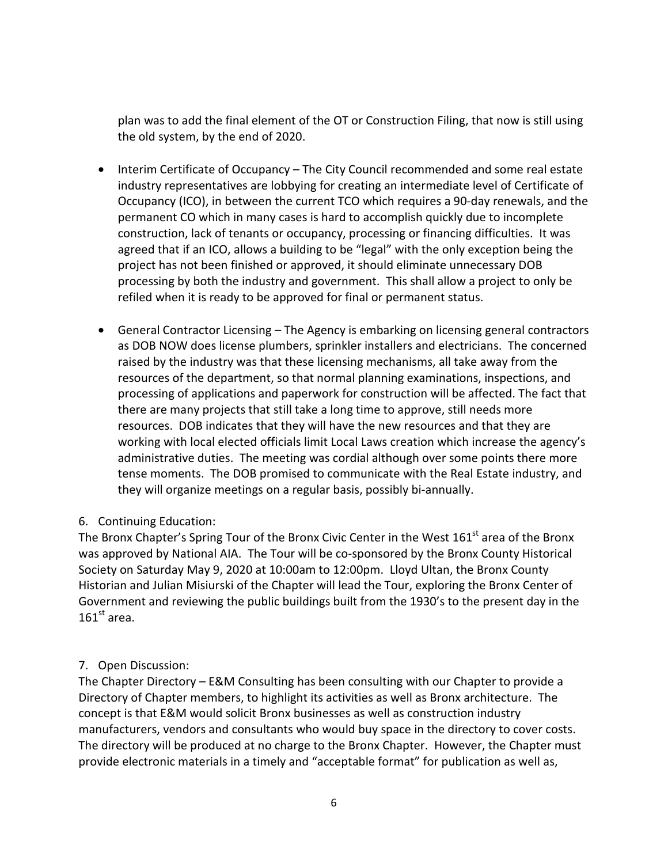plan was to add the final element of the OT or Construction Filing, that now is still using the old system, by the end of 2020.

- Interim Certificate of Occupancy The City Council recommended and some real estate industry representatives are lobbying for creating an intermediate level of Certificate of Occupancy (ICO), in between the current TCO which requires a 90-day renewals, and the permanent CO which in many cases is hard to accomplish quickly due to incomplete construction, lack of tenants or occupancy, processing or financing difficulties. It was agreed that if an ICO, allows a building to be "legal" with the only exception being the project has not been finished or approved, it should eliminate unnecessary DOB processing by both the industry and government. This shall allow a project to only be refiled when it is ready to be approved for final or permanent status.
- General Contractor Licensing The Agency is embarking on licensing general contractors as DOB NOW does license plumbers, sprinkler installers and electricians. The concerned raised by the industry was that these licensing mechanisms, all take away from the resources of the department, so that normal planning examinations, inspections, and processing of applications and paperwork for construction will be affected. The fact that there are many projects that still take a long time to approve, still needs more resources. DOB indicates that they will have the new resources and that they are working with local elected officials limit Local Laws creation which increase the agency's administrative duties. The meeting was cordial although over some points there more tense moments. The DOB promised to communicate with the Real Estate industry, and they will organize meetings on a regular basis, possibly bi-annually.

## 6. Continuing Education:

The Bronx Chapter's Spring Tour of the Bronx Civic Center in the West 161<sup>st</sup> area of the Bronx was approved by National AIA. The Tour will be co-sponsored by the Bronx County Historical Society on Saturday May 9, 2020 at 10:00am to 12:00pm. Lloyd Ultan, the Bronx County Historian and Julian Misiurski of the Chapter will lead the Tour, exploring the Bronx Center of Government and reviewing the public buildings built from the 1930's to the present day in the  $161<sup>st</sup>$  area.

## 7. Open Discussion:

The Chapter Directory – E&M Consulting has been consulting with our Chapter to provide a Directory of Chapter members, to highlight its activities as well as Bronx architecture. The concept is that E&M would solicit Bronx businesses as well as construction industry manufacturers, vendors and consultants who would buy space in the directory to cover costs. The directory will be produced at no charge to the Bronx Chapter. However, the Chapter must provide electronic materials in a timely and "acceptable format" for publication as well as,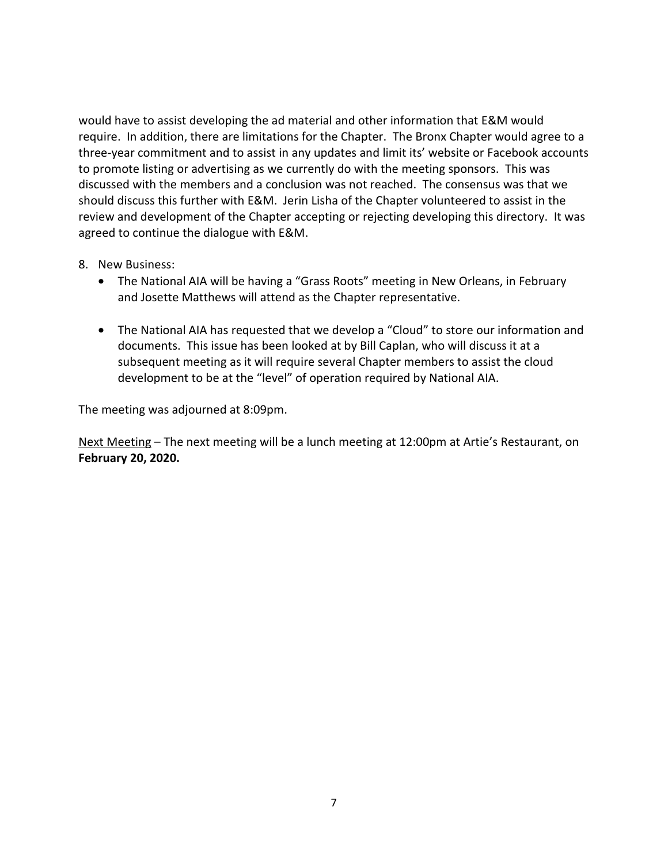would have to assist developing the ad material and other information that E&M would require. In addition, there are limitations for the Chapter. The Bronx Chapter would agree to a three-year commitment and to assist in any updates and limit its' website or Facebook accounts to promote listing or advertising as we currently do with the meeting sponsors. This was discussed with the members and a conclusion was not reached. The consensus was that we should discuss this further with E&M. Jerin Lisha of the Chapter volunteered to assist in the review and development of the Chapter accepting or rejecting developing this directory. It was agreed to continue the dialogue with E&M.

- 8. New Business:
	- The National AIA will be having a "Grass Roots" meeting in New Orleans, in February and Josette Matthews will attend as the Chapter representative.
	- The National AIA has requested that we develop a "Cloud" to store our information and documents. This issue has been looked at by Bill Caplan, who will discuss it at a subsequent meeting as it will require several Chapter members to assist the cloud development to be at the "level" of operation required by National AIA.

The meeting was adjourned at 8:09pm.

Next Meeting – The next meeting will be a lunch meeting at 12:00pm at Artie's Restaurant, on **February 20, 2020.**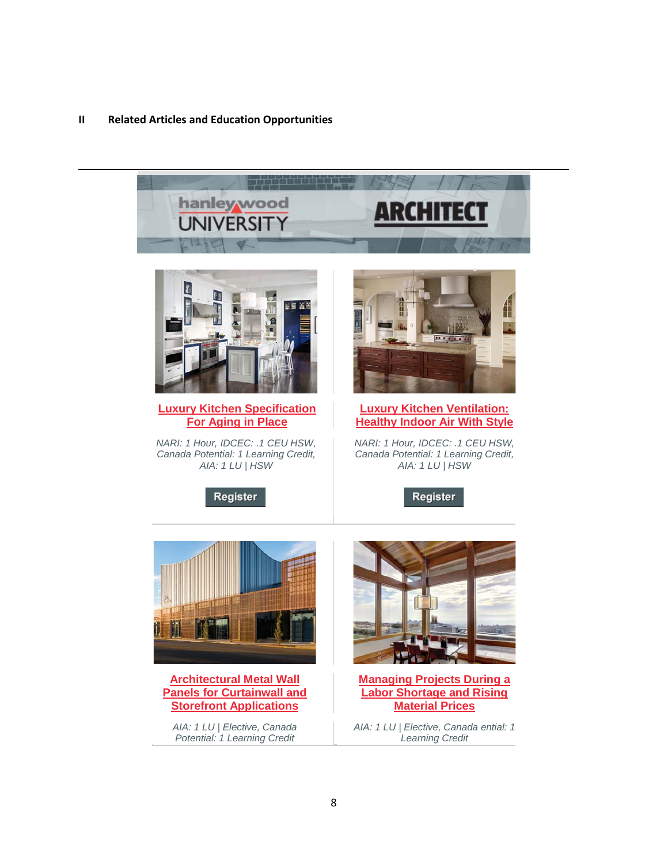#### **II Related Articles and Education Opportunities**

 $\overline{\phantom{0}}$ 





#### **[Luxury Kitchen Specification](https://linkprotect.cudasvc.com/url?a=http%3a%2f%2fclick1.e.hanleywood-media.com%2fatkvtdrlmkpnspydnyzpdnrpprnpksyvcmhmgctyklkyy_hhwcqmnzvchfmnqsnn.html%3fa%3dbesnard%2540dzco.com%26b%3dHWU_EBMGHWUN721155_Update_Newsletter_012320%2b%2b%2b%2b%2b%2b%255BCombo%2b%25232%255D&c=E,1,g1dk7jx0EeBSwk3QkDkAqwjTMDdymIaSDGfiUKYiLlm8OFzbCufcZ5cYYhlQ1gf0Dxs0zeKxb_XfGERqDdQlxlr9DAjNGOw9owik7KprSE01kDPJzwsDekA,&typo=1)  [For Aging in Place](https://linkprotect.cudasvc.com/url?a=http%3a%2f%2fclick1.e.hanleywood-media.com%2fatkvtdrlmkpnspydnyzpdnrpprnpksyvcmhmgctyklkyy_hhwcqmnzvchfmnqsnn.html%3fa%3dbesnard%2540dzco.com%26b%3dHWU_EBMGHWUN721155_Update_Newsletter_012320%2b%2b%2b%2b%2b%2b%255BCombo%2b%25232%255D&c=E,1,g1dk7jx0EeBSwk3QkDkAqwjTMDdymIaSDGfiUKYiLlm8OFzbCufcZ5cYYhlQ1gf0Dxs0zeKxb_XfGERqDdQlxlr9DAjNGOw9owik7KprSE01kDPJzwsDekA,&typo=1)**

*NARI: 1 Hour, IDCEC: .1 CEU HSW, Canada Potential: 1 Learning Credit, AIA: 1 LU | HSW*



#### **[Luxury Kitchen Ventilation:](https://linkprotect.cudasvc.com/url?a=http%3a%2f%2fclick1.e.hanleywood-media.com%2fkspbdmwplhsjfsrmjrksmjwsswjshfrbzlvlqzdrhphrd_hhwcqmnzvchfmnqsnn.html%3fa%3dbesnard%2540dzco.com%26b%3dHWU_EBMGHWUN721155_Update_Newsletter_012320%2b%2b%2b%2b%2b%2b%255BCombo%2b%25232%255D&c=E,1,qdNdurhAy0yDTupMHKKhFo2cYapMvMKcJ6estxtISWysHTPfyRJ4Clk3TKdLkqsRUIC-E_Grkmp1dqNfGgaOA1yJVZpjJISzARu5cjZU9A,,&typo=1)  [Healthy Indoor Air With Style](https://linkprotect.cudasvc.com/url?a=http%3a%2f%2fclick1.e.hanleywood-media.com%2fkspbdmwplhsjfsrmjrksmjwsswjshfrbzlvlqzdrhphrd_hhwcqmnzvchfmnqsnn.html%3fa%3dbesnard%2540dzco.com%26b%3dHWU_EBMGHWUN721155_Update_Newsletter_012320%2b%2b%2b%2b%2b%2b%255BCombo%2b%25232%255D&c=E,1,qdNdurhAy0yDTupMHKKhFo2cYapMvMKcJ6estxtISWysHTPfyRJ4Clk3TKdLkqsRUIC-E_Grkmp1dqNfGgaOA1yJVZpjJISzARu5cjZU9A,,&typo=1)**

*NARI: 1 Hour, IDCEC: .1 CEU HSW, Canada Potential: 1 Learning Credit, AIA: 1 LU | HSW*







**[Architectural Metal Wall](https://linkprotect.cudasvc.com/url?a=http%3a%2f%2fclick1.e.hanleywood-media.com%2fntdcrfgkqypnjptfnthpfngppgnpyjtcbqdqmbrtykydw_hhwcqmnzvchfmnqsnn.html%3fa%3dbesnard%2540dzco.com%26b%3dHWU_EBMGHWUN721155_Update_Newsletter_012320%2b%2b%2b%2b%2b%2b%255BCombo%2b%25232%255D&c=E,1,vDYjqyDQrfic4_w7OWrw62ZBbhXykEy58zj81wM8p6CchpXDDsKq9M6_sNYGCmyPSWAjIzrhuqpn4m1ywtEQ7R055sBPh1j1Z-AfcnpwpVj6d5HIqnVDr5Yt&typo=1)  [Panels for Curtainwall and](https://linkprotect.cudasvc.com/url?a=http%3a%2f%2fclick1.e.hanleywood-media.com%2fntdcrfgkqypnjptfnthpfngppgnpyjtcbqdqmbrtykydw_hhwcqmnzvchfmnqsnn.html%3fa%3dbesnard%2540dzco.com%26b%3dHWU_EBMGHWUN721155_Update_Newsletter_012320%2b%2b%2b%2b%2b%2b%255BCombo%2b%25232%255D&c=E,1,vDYjqyDQrfic4_w7OWrw62ZBbhXykEy58zj81wM8p6CchpXDDsKq9M6_sNYGCmyPSWAjIzrhuqpn4m1ywtEQ7R055sBPh1j1Z-AfcnpwpVj6d5HIqnVDr5Yt&typo=1)  [Storefront Applications](https://linkprotect.cudasvc.com/url?a=http%3a%2f%2fclick1.e.hanleywood-media.com%2fntdcrfgkqypnjptfnthpfngppgnpyjtcbqdqmbrtykydw_hhwcqmnzvchfmnqsnn.html%3fa%3dbesnard%2540dzco.com%26b%3dHWU_EBMGHWUN721155_Update_Newsletter_012320%2b%2b%2b%2b%2b%2b%255BCombo%2b%25232%255D&c=E,1,vDYjqyDQrfic4_w7OWrw62ZBbhXykEy58zj81wM8p6CchpXDDsKq9M6_sNYGCmyPSWAjIzrhuqpn4m1ywtEQ7R055sBPh1j1Z-AfcnpwpVj6d5HIqnVDr5Yt&typo=1)**

*AIA: 1 LU | Elective, Canada Potential: 1 Learning Credit*



**[Managing Projects During a](https://linkprotect.cudasvc.com/url?a=http%3a%2f%2fclick1.e.hanleywood-media.com%2fjtrzqjcnbrmwfmtjwthmjwcmmcwmrftzpbvbkpqtrnrvj_hhwcqmnzvchfmnqsnn.html%3fa%3dbesnard%2540dzco.com%26b%3dHWU_EBMGHWUN721155_Update_Newsletter_012320%2b%2b%2b%2b%2b%2b%255BCombo%2b%25232%255D&c=E,1,yiUl42kuQ2NVjewf-8r_crqT4ElMaPF7kjRXG7IpoNPWIyvdbb3w570lcbH9ddIVSk-hbKjghLFQMvft5UBCcimGE4jk9yWfPnF5L5nm&typo=1)  [Labor Shortage and Rising](https://linkprotect.cudasvc.com/url?a=http%3a%2f%2fclick1.e.hanleywood-media.com%2fjtrzqjcnbrmwfmtjwthmjwcmmcwmrftzpbvbkpqtrnrvj_hhwcqmnzvchfmnqsnn.html%3fa%3dbesnard%2540dzco.com%26b%3dHWU_EBMGHWUN721155_Update_Newsletter_012320%2b%2b%2b%2b%2b%2b%255BCombo%2b%25232%255D&c=E,1,yiUl42kuQ2NVjewf-8r_crqT4ElMaPF7kjRXG7IpoNPWIyvdbb3w570lcbH9ddIVSk-hbKjghLFQMvft5UBCcimGE4jk9yWfPnF5L5nm&typo=1)  [Material Prices](https://linkprotect.cudasvc.com/url?a=http%3a%2f%2fclick1.e.hanleywood-media.com%2fjtrzqjcnbrmwfmtjwthmjwcmmcwmrftzpbvbkpqtrnrvj_hhwcqmnzvchfmnqsnn.html%3fa%3dbesnard%2540dzco.com%26b%3dHWU_EBMGHWUN721155_Update_Newsletter_012320%2b%2b%2b%2b%2b%2b%255BCombo%2b%25232%255D&c=E,1,yiUl42kuQ2NVjewf-8r_crqT4ElMaPF7kjRXG7IpoNPWIyvdbb3w570lcbH9ddIVSk-hbKjghLFQMvft5UBCcimGE4jk9yWfPnF5L5nm&typo=1)**

*AIA: 1 LU | Elective, Canada ential: 1 Learning Credit*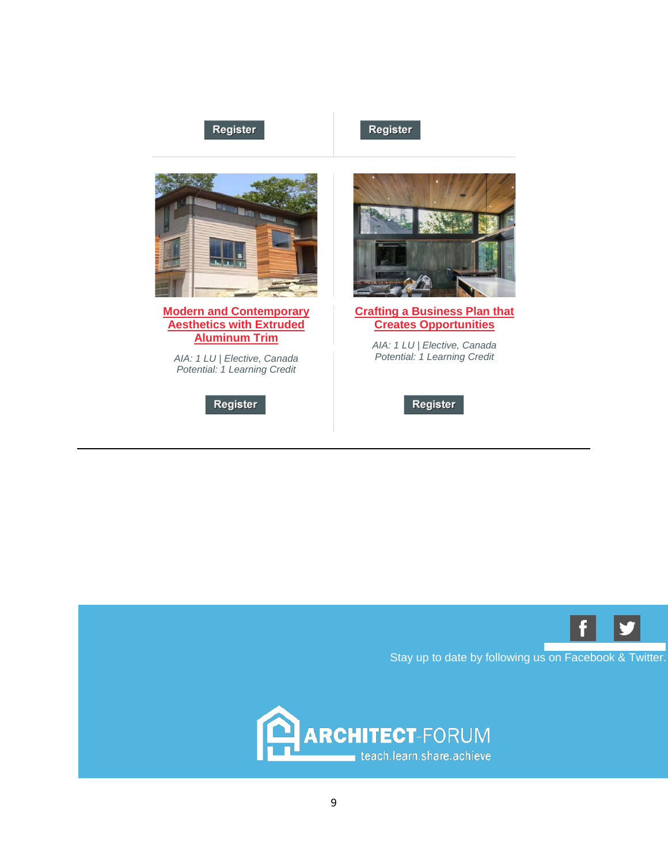## Register





#### **[Modern and Contemporary](https://linkprotect.cudasvc.com/url?a=http%3a%2f%2fclick1.e.hanleywood-media.com%2frnlhtnylcrvpwvknpkfvnpyvvypvrwkhscgcbstkrlrgv_hhwcqmnzvchfmnqsnn.html%3fa%3dbesnard%2540dzco.com%26b%3dHWU_EBMGHWUN721155_Update_Newsletter_012320%2b%2b%2b%2b%2b%2b%255BCombo%2b%25232%255D&c=E,1,cJHU07HH3Us2Fra2mWGKfhTgIdNzRBXlM9mChpcM-cgv50ttbytSd_gKm-cxNCPdic0zTEmvWey1_pHTpSE_5HSVIAMa3osp93rdgH1hPWD5mAeeUZTb29iMktg,&typo=1)  [Aesthetics with Extruded](https://linkprotect.cudasvc.com/url?a=http%3a%2f%2fclick1.e.hanleywood-media.com%2frnlhtnylcrvpwvknpkfvnpyvvypvrwkhscgcbstkrlrgv_hhwcqmnzvchfmnqsnn.html%3fa%3dbesnard%2540dzco.com%26b%3dHWU_EBMGHWUN721155_Update_Newsletter_012320%2b%2b%2b%2b%2b%2b%255BCombo%2b%25232%255D&c=E,1,cJHU07HH3Us2Fra2mWGKfhTgIdNzRBXlM9mChpcM-cgv50ttbytSd_gKm-cxNCPdic0zTEmvWey1_pHTpSE_5HSVIAMa3osp93rdgH1hPWD5mAeeUZTb29iMktg,&typo=1)  [Aluminum Trim](https://linkprotect.cudasvc.com/url?a=http%3a%2f%2fclick1.e.hanleywood-media.com%2frnlhtnylcrvpwvknpkfvnpyvvypvrwkhscgcbstkrlrgv_hhwcqmnzvchfmnqsnn.html%3fa%3dbesnard%2540dzco.com%26b%3dHWU_EBMGHWUN721155_Update_Newsletter_012320%2b%2b%2b%2b%2b%2b%255BCombo%2b%25232%255D&c=E,1,cJHU07HH3Us2Fra2mWGKfhTgIdNzRBXlM9mChpcM-cgv50ttbytSd_gKm-cxNCPdic0zTEmvWey1_pHTpSE_5HSVIAMa3osp93rdgH1hPWD5mAeeUZTb29iMktg,&typo=1)**

*AIA: 1 LU | Elective, Canada Potential: 1 Learning Credit*

Register



#### **[Crafting a Business Plan that](https://linkprotect.cudasvc.com/url?a=http%3a%2f%2fclick1.e.hanleywood-media.com%2fbfqscfvzplqybqjfyjkqfyvqqvyqlbjsnpgpmncjlzlgz_hhwcqmnzvchfmnqsnn.html%3fa%3dbesnard%2540dzco.com%26b%3dHWU_EBMGHWUN721155_Update_Newsletter_012320%2b%2b%2b%2b%2b%2b%255BCombo%2b%25232%255D&c=E,1,Jbz1hnInWphNz0CoITDj7gBPrp_ABKAVimejLIkCHZ-U8v7LmU4LpI5RN1MrAdtiO-FnRgqDTTwItizFEpV929A7DsNzMVxOQiWthqXHumMU-js6JQ,,&typo=1)  [Creates Opportunities](https://linkprotect.cudasvc.com/url?a=http%3a%2f%2fclick1.e.hanleywood-media.com%2fbfqscfvzplqybqjfyjkqfyvqqvyqlbjsnpgpmncjlzlgz_hhwcqmnzvchfmnqsnn.html%3fa%3dbesnard%2540dzco.com%26b%3dHWU_EBMGHWUN721155_Update_Newsletter_012320%2b%2b%2b%2b%2b%2b%255BCombo%2b%25232%255D&c=E,1,Jbz1hnInWphNz0CoITDj7gBPrp_ABKAVimejLIkCHZ-U8v7LmU4LpI5RN1MrAdtiO-FnRgqDTTwItizFEpV929A7DsNzMVxOQiWthqXHumMU-js6JQ,,&typo=1)**

*AIA: 1 LU | Elective, Canada Potential: 1 Learning Credit*

Register





T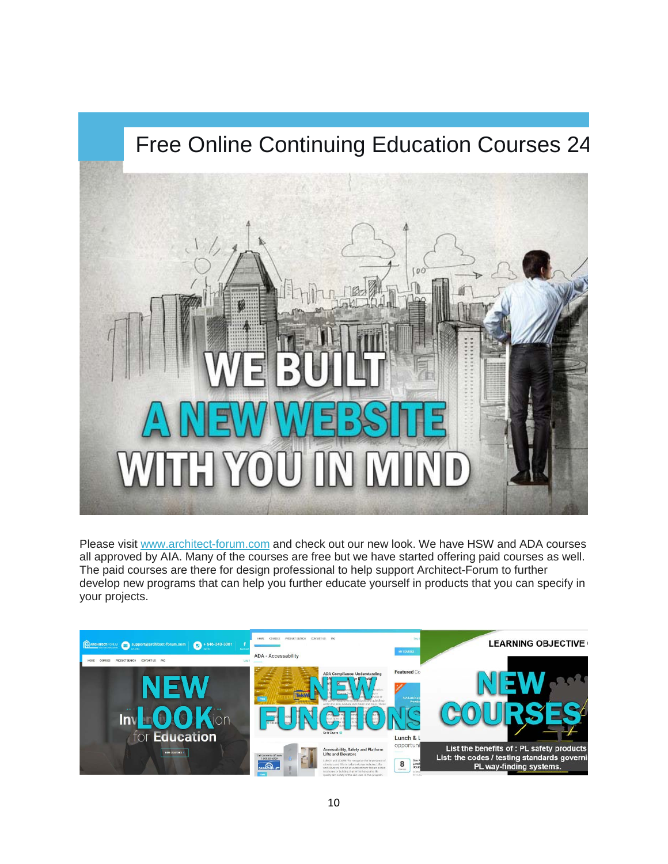

Please visit [www.architect-forum.com](https://linkprotect.cudasvc.com/url?a=http%3a%2f%2fnewsletter.architect-forum.com%2ft.aspx%3fS%3d1%26ID%3d4745%26NL%3d12%26N%3d2187%26SI%3d2271%26URL%3dhttps%253a%252f%252flms.architect-forum.com&c=E,1,E8XUUmD3UP3Fi1VMpgYFiCm6qYQrc6ft8zfQNazO9_tLrsAXZEwCwJHtRdE0mQ7E3YyFmlspEM0xmooL8LCkg75hQsqB6_DiLkxBwz4Ueg4,&typo=1) and check out our new look. We have HSW and ADA courses all approved by AIA. Many of the courses are free but we have started offering paid courses as well. The paid courses are there for design professional to help support Architect-Forum to further develop new programs that can help you further educate yourself in products that you can specify in your projects.

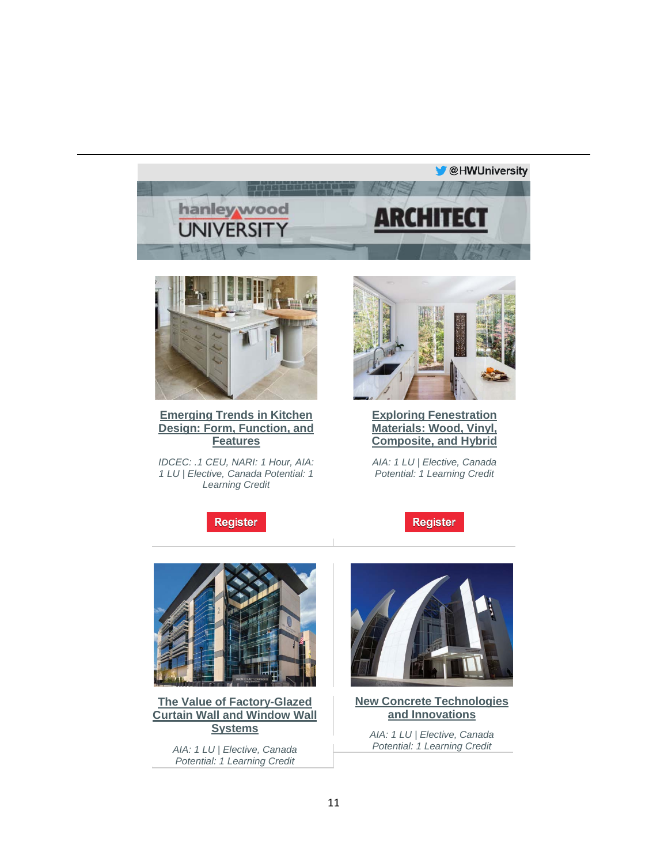



**[Emerging Trends in Kitchen](https://linkprotect.cudasvc.com/url?a=http%3a%2f%2fclick1.e.hanleywood-media.com%2fpchrcjwvhqlbdlyjbytljbwllwblqdyrghmhkgcyqfjlh_wwgglzfbdgnjdjjwff.html%3fa%3dbesnard%2540dzco.com%26b%3dHWU_EBMGHWUN721155_Update_Newsletter_011620%2b%2b%2b%2b%255BCombo%2b%25231%255D&c=E,1,MIFnnHmMfW57zT_q-RKbTiOHgpKL73kNn5SC_tzwTe2PQbwAkUfTVFW-8_jNZ3g3__j6Ip828PA1cXJ2_AwzKy-H2_vyCPUYQDRt4sxzZDzD3g,,&typo=1)  [Design: Form, Function, and](https://linkprotect.cudasvc.com/url?a=http%3a%2f%2fclick1.e.hanleywood-media.com%2fpchrcjwvhqlbdlyjbytljbwllwblqdyrghmhkgcyqfjlh_wwgglzfbdgnjdjjwff.html%3fa%3dbesnard%2540dzco.com%26b%3dHWU_EBMGHWUN721155_Update_Newsletter_011620%2b%2b%2b%2b%255BCombo%2b%25231%255D&c=E,1,MIFnnHmMfW57zT_q-RKbTiOHgpKL73kNn5SC_tzwTe2PQbwAkUfTVFW-8_jNZ3g3__j6Ip828PA1cXJ2_AwzKy-H2_vyCPUYQDRt4sxzZDzD3g,,&typo=1)  [Features](https://linkprotect.cudasvc.com/url?a=http%3a%2f%2fclick1.e.hanleywood-media.com%2fpchrcjwvhqlbdlyjbytljbwllwblqdyrghmhkgcyqfjlh_wwgglzfbdgnjdjjwff.html%3fa%3dbesnard%2540dzco.com%26b%3dHWU_EBMGHWUN721155_Update_Newsletter_011620%2b%2b%2b%2b%255BCombo%2b%25231%255D&c=E,1,MIFnnHmMfW57zT_q-RKbTiOHgpKL73kNn5SC_tzwTe2PQbwAkUfTVFW-8_jNZ3g3__j6Ip828PA1cXJ2_AwzKy-H2_vyCPUYQDRt4sxzZDzD3g,,&typo=1)**

*IDCEC: .1 CEU, NARI: 1 Hour, AIA: 1 LU | Elective, Canada Potential: 1 Learning Credit*



**[Exploring Fenestration](https://linkprotect.cudasvc.com/url?a=http%3a%2f%2fclick1.e.hanleywood-media.com%2fidztnvpcyhdwzdbvwbkdvwpddpwdhzbtrymyqrnbhgvdb_wwgglzfbdgnjdjjwff.html%3fa%3dbesnard%2540dzco.com%26b%3dHWU_EBMGHWUN721155_Update_Newsletter_011620%2b%2b%2b%2b%255BCombo%2b%25231%255D&c=E,1,htKf7RTA9rkRoqbAKk3N-JyS7S5fCe8SOR8EaYTOTGQlbSPGYtDaoJ30teVIVkh7qiqwb-62mC8WkpCldoOL3RXmrnA0wvso1bEjDn_LZfnH&typo=1)  [Materials: Wood, Vinyl,](https://linkprotect.cudasvc.com/url?a=http%3a%2f%2fclick1.e.hanleywood-media.com%2fidztnvpcyhdwzdbvwbkdvwpddpwdhzbtrymyqrnbhgvdb_wwgglzfbdgnjdjjwff.html%3fa%3dbesnard%2540dzco.com%26b%3dHWU_EBMGHWUN721155_Update_Newsletter_011620%2b%2b%2b%2b%255BCombo%2b%25231%255D&c=E,1,htKf7RTA9rkRoqbAKk3N-JyS7S5fCe8SOR8EaYTOTGQlbSPGYtDaoJ30teVIVkh7qiqwb-62mC8WkpCldoOL3RXmrnA0wvso1bEjDn_LZfnH&typo=1)  [Composite, and Hybrid](https://linkprotect.cudasvc.com/url?a=http%3a%2f%2fclick1.e.hanleywood-media.com%2fidztnvpcyhdwzdbvwbkdvwpddpwdhzbtrymyqrnbhgvdb_wwgglzfbdgnjdjjwff.html%3fa%3dbesnard%2540dzco.com%26b%3dHWU_EBMGHWUN721155_Update_Newsletter_011620%2b%2b%2b%2b%255BCombo%2b%25231%255D&c=E,1,htKf7RTA9rkRoqbAKk3N-JyS7S5fCe8SOR8EaYTOTGQlbSPGYtDaoJ30teVIVkh7qiqwb-62mC8WkpCldoOL3RXmrnA0wvso1bEjDn_LZfnH&typo=1)**

*AIA: 1 LU | Elective, Canada Potential: 1 Learning Credit*







**[The Value of Factory-Glazed](https://linkprotect.cudasvc.com/url?a=http%3a%2f%2fclick1.e.hanleywood-media.com%2folwcrjsqtzldmlkjdkgljdsllsdlzmkcptwtnprkzfjlr_wwgglzfbdgnjdjjwff.html%3fa%3dbesnard%2540dzco.com%26b%3dHWU_EBMGHWUN721155_Update_Newsletter_011620%2b%2b%2b%2b%255BCombo%2b%25231%255D&c=E,1,R6K8k7m5wxLNdeo01ijEUgpY9Ky88NHqbI5PxaLmRINzjqsHO1gB3HHywm2p7pdPE_h8Hom8XRbsR7C-QbpeGLoEhJ4T4NL9nZFQMW6bvbkluf4YXDl8&typo=1)  [Curtain Wall and Window Wall](https://linkprotect.cudasvc.com/url?a=http%3a%2f%2fclick1.e.hanleywood-media.com%2folwcrjsqtzldmlkjdkgljdsllsdlzmkcptwtnprkzfjlr_wwgglzfbdgnjdjjwff.html%3fa%3dbesnard%2540dzco.com%26b%3dHWU_EBMGHWUN721155_Update_Newsletter_011620%2b%2b%2b%2b%255BCombo%2b%25231%255D&c=E,1,R6K8k7m5wxLNdeo01ijEUgpY9Ky88NHqbI5PxaLmRINzjqsHO1gB3HHywm2p7pdPE_h8Hom8XRbsR7C-QbpeGLoEhJ4T4NL9nZFQMW6bvbkluf4YXDl8&typo=1)  [Systems](https://linkprotect.cudasvc.com/url?a=http%3a%2f%2fclick1.e.hanleywood-media.com%2folwcrjsqtzldmlkjdkgljdsllsdlzmkcptwtnprkzfjlr_wwgglzfbdgnjdjjwff.html%3fa%3dbesnard%2540dzco.com%26b%3dHWU_EBMGHWUN721155_Update_Newsletter_011620%2b%2b%2b%2b%255BCombo%2b%25231%255D&c=E,1,R6K8k7m5wxLNdeo01ijEUgpY9Ky88NHqbI5PxaLmRINzjqsHO1gB3HHywm2p7pdPE_h8Hom8XRbsR7C-QbpeGLoEhJ4T4NL9nZFQMW6bvbkluf4YXDl8&typo=1)**

*AIA: 1 LU | Elective, Canada Potential: 1 Learning Credit*



**[New Concrete Technologies](https://linkprotect.cudasvc.com/url?a=http%3a%2f%2fclick1.e.hanleywood-media.com%2fqvmjpsydmwfthfvstvqfstyffytfwhvjcmgmrcpvwnspn_wwgglzfbdgnjdjjwff.html%3fa%3dbesnard%2540dzco.com%26b%3dHWU_EBMGHWUN721155_Update_Newsletter_011620%2b%2b%2b%2b%255BCombo%2b%25231%255D&c=E,1,iUUJfs1PntEnpDmAGj-KlXB8ZRFiRi702KqSauqCUdq9THAoXYbvTBryq9_0-olFnXW8gNvYV5euwRz4tpbcpsjg0-8HpQ8KCOtv5OxfNmYqiAsrNrXcLbc,&typo=1)  [and Innovations](https://linkprotect.cudasvc.com/url?a=http%3a%2f%2fclick1.e.hanleywood-media.com%2fqvmjpsydmwfthfvstvqfstyffytfwhvjcmgmrcpvwnspn_wwgglzfbdgnjdjjwff.html%3fa%3dbesnard%2540dzco.com%26b%3dHWU_EBMGHWUN721155_Update_Newsletter_011620%2b%2b%2b%2b%255BCombo%2b%25231%255D&c=E,1,iUUJfs1PntEnpDmAGj-KlXB8ZRFiRi702KqSauqCUdq9THAoXYbvTBryq9_0-olFnXW8gNvYV5euwRz4tpbcpsjg0-8HpQ8KCOtv5OxfNmYqiAsrNrXcLbc,&typo=1)**

*AIA: 1 LU | Elective, Canada Potential: 1 Learning Credit*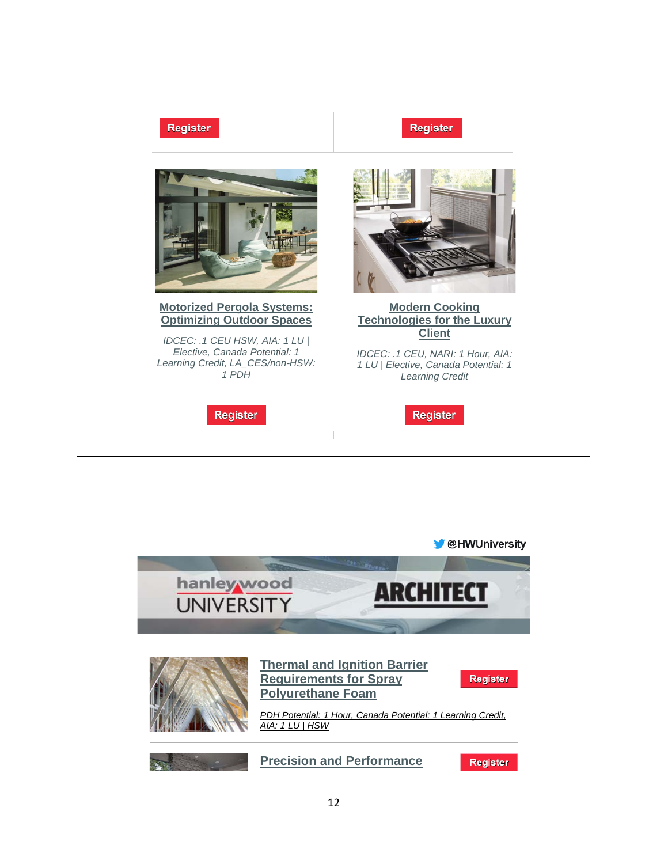## **Register**





**M** @HWUniversity

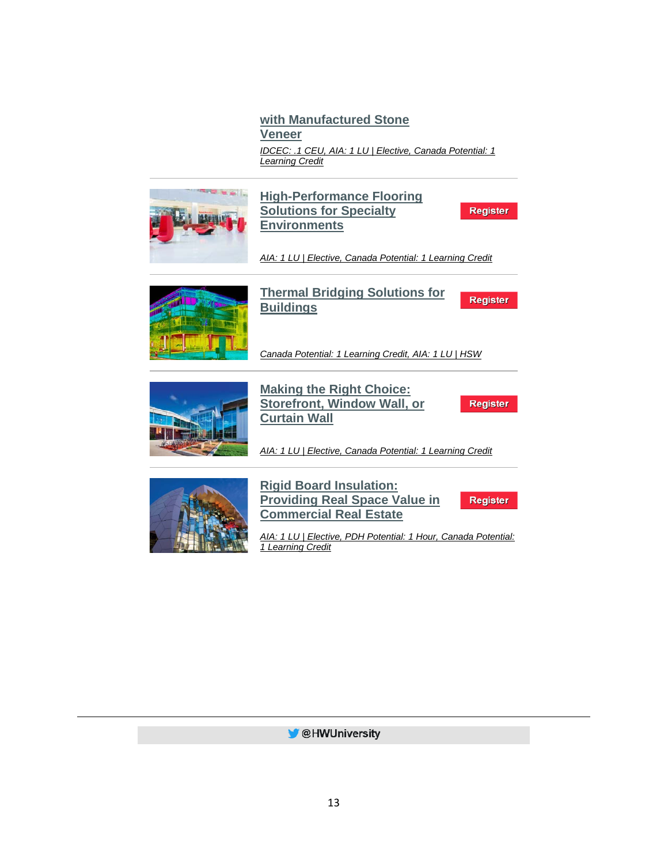**with Manufactured Stone Veneer** *[IDCEC: .1 CEU, AIA: 1 LU | Elective, Canada Potential: 1](https://linkprotect.cudasvc.com/url?a=http%3a%2f%2fclick1.e.hanleywood-media.com%2ftbldmhsplzckjcbhkbfchksccskczjbdtlvlrtmblcjpj_jjmvrfswbvqnsrtfss.html%3fa%3dbesnard%2540dzco.com%26b%3dHWU_EBMGHWUN721155_Update_Newsletter_011420%2b%2b%2b%255BCombo%2b%25232%255D&c=E,1,eJjsqBn3LA3xyN2uItCAR6tvHudNYADNRzhZbFpM6KotpfiJZ8onglO2Opk9ddBPwZqNfgSf8gDfqgGU0J_0jTk3fjoBN8jb2I7FjSRPGXT3PUIyV1eYl8Jq6w,,&typo=1)  [Learning Credit](https://linkprotect.cudasvc.com/url?a=http%3a%2f%2fclick1.e.hanleywood-media.com%2ftbldmhsplzckjcbhkbfchksccskczjbdtlvlrtmblcjpj_jjmvrfswbvqnsrtfss.html%3fa%3dbesnard%2540dzco.com%26b%3dHWU_EBMGHWUN721155_Update_Newsletter_011420%2b%2b%2b%255BCombo%2b%25232%255D&c=E,1,eJjsqBn3LA3xyN2uItCAR6tvHudNYADNRzhZbFpM6KotpfiJZ8onglO2Opk9ddBPwZqNfgSf8gDfqgGU0J_0jTk3fjoBN8jb2I7FjSRPGXT3PUIyV1eYl8Jq6w,,&typo=1)*



**[High-Performance Flooring](https://linkprotect.cudasvc.com/url?a=http%3a%2f%2fclick1.e.hanleywood-media.com%2fehzvzyjqrshfphtyftlhyfjhhjfhsptvcrbrwcztrhqdd_jjmvrfswbvqnsrtfss.html%3fa%3dbesnard%2540dzco.com%26b%3dHWU_EBMGHWUN721155_Update_Newsletter_011420%2b%2b%2b%255BCombo%2b%25232%255D&c=E,1,dmFC-aeaQJ13V8uII-epCv-6qVcm1T9CtfCM-RgTQDG5APXBZFLq30hP3mFQIPcSONGwjhbPOSZrid1hs9MWyEGDbtlsRRZdlkb0l6BaOg,,&typo=1)  [Solutions for Specialty](https://linkprotect.cudasvc.com/url?a=http%3a%2f%2fclick1.e.hanleywood-media.com%2fehzvzyjqrshfphtyftlhyfjhhjfhsptvcrbrwcztrhqdd_jjmvrfswbvqnsrtfss.html%3fa%3dbesnard%2540dzco.com%26b%3dHWU_EBMGHWUN721155_Update_Newsletter_011420%2b%2b%2b%255BCombo%2b%25232%255D&c=E,1,dmFC-aeaQJ13V8uII-epCv-6qVcm1T9CtfCM-RgTQDG5APXBZFLq30hP3mFQIPcSONGwjhbPOSZrid1hs9MWyEGDbtlsRRZdlkb0l6BaOg,,&typo=1)  [Environments](https://linkprotect.cudasvc.com/url?a=http%3a%2f%2fclick1.e.hanleywood-media.com%2fehzvzyjqrshfphtyftlhyfjhhjfhsptvcrbrwcztrhqdd_jjmvrfswbvqnsrtfss.html%3fa%3dbesnard%2540dzco.com%26b%3dHWU_EBMGHWUN721155_Update_Newsletter_011420%2b%2b%2b%255BCombo%2b%25232%255D&c=E,1,dmFC-aeaQJ13V8uII-epCv-6qVcm1T9CtfCM-RgTQDG5APXBZFLq30hP3mFQIPcSONGwjhbPOSZrid1hs9MWyEGDbtlsRRZdlkb0l6BaOg,,&typo=1)**

*[AIA: 1 LU | Elective, Canada Potential: 1 Learning Credit](https://linkprotect.cudasvc.com/url?a=http%3a%2f%2fclick1.e.hanleywood-media.com%2fxbrnjhkcdvbtsbphtplbhtkbbktbvspnydrdqyjpdbcgv_jjmvrfswbvqnsrtfss.html%3fa%3dbesnard%2540dzco.com%26b%3dHWU_EBMGHWUN721155_Update_Newsletter_011420%2b%2b%2b%255BCombo%2b%25232%255D&c=E,1,_NYFBXVN-0ViRLEcpSBf8TeN5nm57Q-H_mQVsyA80ugsSWR9Yp-8AkLdi-etWf3Bw5tPRX5sq2me2ar5ouDC1vVzH5qw-SMLOcNRuBkfEh3s4ENEziGcKA,,&typo=1)*



**[Thermal Bridging Solutions for](https://linkprotect.cudasvc.com/url?a=http%3a%2f%2fclick1.e.hanleywood-media.com%2fehyvzyjqrshfphtyftlhyfjhhjfhsptvcrbrwcztrhqdt_jjmvrfswbvqnsrtfss.html%3fa%3dbesnard%2540dzco.com%26b%3dHWU_EBMGHWUN721155_Update_Newsletter_011420%2b%2b%2b%255BCombo%2b%25232%255D&c=E,1,yVvSCoxjcfDqQvVfNE4Wq11_G3PchsAmCBq2RLw4xsE9tvA3fksp82gNtGdrez5mcg8V8FCPCEnkt-ZnEoOquJSBOw6PYtOpcs0fte-yg3OQ&typo=1)  [Buildings](https://linkprotect.cudasvc.com/url?a=http%3a%2f%2fclick1.e.hanleywood-media.com%2fehyvzyjqrshfphtyftlhyfjhhjfhsptvcrbrwcztrhqdt_jjmvrfswbvqnsrtfss.html%3fa%3dbesnard%2540dzco.com%26b%3dHWU_EBMGHWUN721155_Update_Newsletter_011420%2b%2b%2b%255BCombo%2b%25232%255D&c=E,1,yVvSCoxjcfDqQvVfNE4Wq11_G3PchsAmCBq2RLw4xsE9tvA3fksp82gNtGdrez5mcg8V8FCPCEnkt-ZnEoOquJSBOw6PYtOpcs0fte-yg3OQ&typo=1)**

*[Canada Potential: 1 Learning Credit, AIA: 1 LU | HSW](https://linkprotect.cudasvc.com/url?a=http%3a%2f%2fclick1.e.hanleywood-media.com%2fvgfqjpdyfvgnmgkpnkbgpndggdngvmkqcfhfzcjkfgyrg_jjmvrfswbvqnsrtfss.html%3fa%3dbesnard%2540dzco.com%26b%3dHWU_EBMGHWUN721155_Update_Newsletter_011420%2b%2b%2b%255BCombo%2b%25232%255D&c=E,1,go88w5RXj30AkoUga3_9eA8e0QoCT9bGrW22gi27pRJ84igmiurXU8MvOwyntIETliVvZqU5TappBmauOsWJZogFookPCFbjV11e9RUhzQ,,&typo=1)*



**[Making the Right Choice:](https://linkprotect.cudasvc.com/url?a=http%3a%2f%2fclick1.e.hanleywood-media.com%2fhcflhbjfvqwzmwsbzsrwbzjwwjzwqmsldvcvpdhsvwfnm_jjmvrfswbvqnsrtfss.html%3fa%3dbesnard%2540dzco.com%26b%3dHWU_EBMGHWUN721155_Update_Newsletter_011420%2b%2b%2b%255BCombo%2b%25232%255D&c=E,1,Iivs6Z3KemVgtwTSbdO4ObsnmWVRavDgcckNjHNylCuaet-RbexEQaL8MFXA5y018w0jlaGBh6x8ZLutXirIAXmp-frGo5-hHcfyfYC9fndDdiqBCA,,&typo=1)  [Storefront, Window Wall, or](https://linkprotect.cudasvc.com/url?a=http%3a%2f%2fclick1.e.hanleywood-media.com%2fhcflhbjfvqwzmwsbzsrwbzjwwjzwqmsldvcvpdhsvwfnm_jjmvrfswbvqnsrtfss.html%3fa%3dbesnard%2540dzco.com%26b%3dHWU_EBMGHWUN721155_Update_Newsletter_011420%2b%2b%2b%255BCombo%2b%25232%255D&c=E,1,Iivs6Z3KemVgtwTSbdO4ObsnmWVRavDgcckNjHNylCuaet-RbexEQaL8MFXA5y018w0jlaGBh6x8ZLutXirIAXmp-frGo5-hHcfyfYC9fndDdiqBCA,,&typo=1)  [Curtain Wall](https://linkprotect.cudasvc.com/url?a=http%3a%2f%2fclick1.e.hanleywood-media.com%2fhcflhbjfvqwzmwsbzsrwbzjwwjzwqmsldvcvpdhsvwfnm_jjmvrfswbvqnsrtfss.html%3fa%3dbesnard%2540dzco.com%26b%3dHWU_EBMGHWUN721155_Update_Newsletter_011420%2b%2b%2b%255BCombo%2b%25232%255D&c=E,1,Iivs6Z3KemVgtwTSbdO4ObsnmWVRavDgcckNjHNylCuaet-RbexEQaL8MFXA5y018w0jlaGBh6x8ZLutXirIAXmp-frGo5-hHcfyfYC9fndDdiqBCA,,&typo=1)**

**Register** 

**Register** 

**Register** 

*[AIA: 1 LU | Elective, Canada Potential: 1 Learning Credit](https://linkprotect.cudasvc.com/url?a=http%3a%2f%2fclick1.e.hanleywood-media.com%2fuwfzpwvchqfsmfgwsgbfwsvffvsfqmgzjhnhkjpghfchy_jjmvrfswbvqnsrtfss.html%3fa%3dbesnard%2540dzco.com%26b%3dHWU_EBMGHWUN721155_Update_Newsletter_011420%2b%2b%2b%255BCombo%2b%25232%255D&c=E,1,WnZ8nHrfibKXjTlQ-oOT4g9aMAThyHrBhQyPI0VBDKCEnSjWsBT7zO2ic9qBZ4lsg3q8y3mRBWNXd6z1MCowNobCeC13wOiqOps9JIQnJBZIOeyFIdTTWEOEkQ,,&typo=1)*



**[Rigid Board Insulation:](https://linkprotect.cudasvc.com/url?a=http%3a%2f%2fclick1.e.hanleywood-media.com%2fjjtzqjcnbrmwfmtjwthmjwcmmcwmrftzpbvbkpqtbmnbr_jjmvrfswbvqnsrtfss.html%3fa%3dbesnard%2540dzco.com%26b%3dHWU_EBMGHWUN721155_Update_Newsletter_011420%2b%2b%2b%255BCombo%2b%25232%255D&c=E,1,zpPBG5tdlgPH4OTydFhC3phJExycB5wNL4aPL50J_DqYZ6UT8rvmA13Bxxyen5FkRo058T5AYqjw7Tfw0KAgMHO8mPdIRPN8JW32oRUPUU-Wij4,&typo=1)  [Providing Real Space Value in](https://linkprotect.cudasvc.com/url?a=http%3a%2f%2fclick1.e.hanleywood-media.com%2fjjtzqjcnbrmwfmtjwthmjwcmmcwmrftzpbvbkpqtbmnbr_jjmvrfswbvqnsrtfss.html%3fa%3dbesnard%2540dzco.com%26b%3dHWU_EBMGHWUN721155_Update_Newsletter_011420%2b%2b%2b%255BCombo%2b%25232%255D&c=E,1,zpPBG5tdlgPH4OTydFhC3phJExycB5wNL4aPL50J_DqYZ6UT8rvmA13Bxxyen5FkRo058T5AYqjw7Tfw0KAgMHO8mPdIRPN8JW32oRUPUU-Wij4,&typo=1)  [Commercial Real Estate](https://linkprotect.cudasvc.com/url?a=http%3a%2f%2fclick1.e.hanleywood-media.com%2fjjtzqjcnbrmwfmtjwthmjwcmmcwmrftzpbvbkpqtbmnbr_jjmvrfswbvqnsrtfss.html%3fa%3dbesnard%2540dzco.com%26b%3dHWU_EBMGHWUN721155_Update_Newsletter_011420%2b%2b%2b%255BCombo%2b%25232%255D&c=E,1,zpPBG5tdlgPH4OTydFhC3phJExycB5wNL4aPL50J_DqYZ6UT8rvmA13Bxxyen5FkRo058T5AYqjw7Tfw0KAgMHO8mPdIRPN8JW32oRUPUU-Wij4,&typo=1)**

Register

*[AIA: 1 LU | Elective, PDH Potential: 1 Hour, Canada Potential:](https://linkprotect.cudasvc.com/url?a=http%3a%2f%2fclick1.e.hanleywood-media.com%2feysvzyjqrshfphtyftlhyfjhhjfhsptvcrbrwcztrhqrt_jjmvrfswbvqnsrtfss.html%3fa%3dbesnard%2540dzco.com%26b%3dHWU_EBMGHWUN721155_Update_Newsletter_011420%2b%2b%2b%255BCombo%2b%25232%255D&c=E,1,_Uxs6OJ6qxRVwqTxsJNYFqRFFFsmd_t_kVl6Xglh2nXyL-G5LhT7JBVTbUNNHwDEVHfb3mym9lMRduXu_G_eVhH5t3XUmWMZQsFqIk0WDcehZWL0VnIgmcw,&typo=1)  [1 Learning Credit](https://linkprotect.cudasvc.com/url?a=http%3a%2f%2fclick1.e.hanleywood-media.com%2feysvzyjqrshfphtyftlhyfjhhjfhsptvcrbrwcztrhqrt_jjmvrfswbvqnsrtfss.html%3fa%3dbesnard%2540dzco.com%26b%3dHWU_EBMGHWUN721155_Update_Newsletter_011420%2b%2b%2b%255BCombo%2b%25232%255D&c=E,1,_Uxs6OJ6qxRVwqTxsJNYFqRFFFsmd_t_kVl6Xglh2nXyL-G5LhT7JBVTbUNNHwDEVHfb3mym9lMRduXu_G_eVhH5t3XUmWMZQsFqIk0WDcehZWL0VnIgmcw,&typo=1)*

**M** @HWUniversity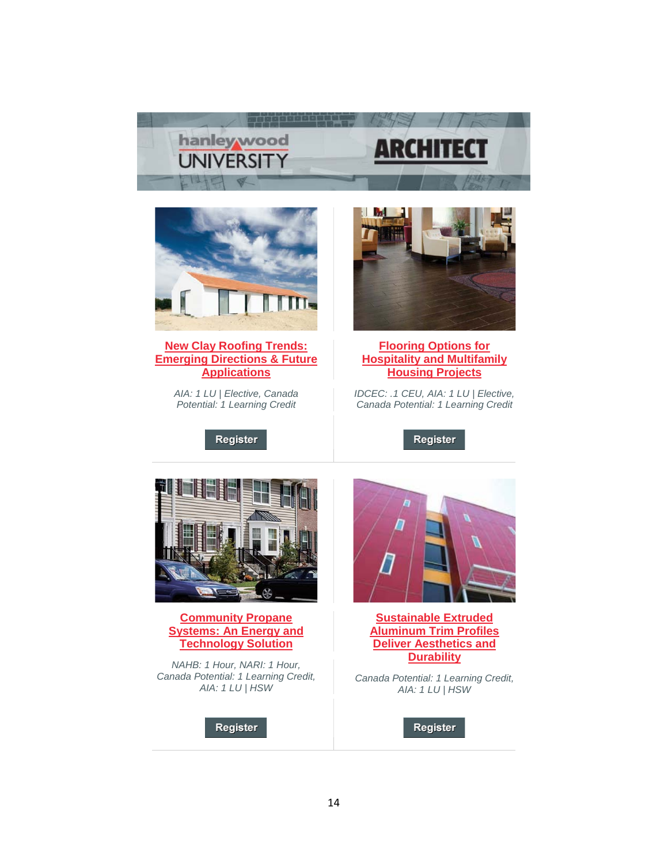



#### **[New Clay Roofing Trends:](https://linkprotect.cudasvc.com/url?a=http%3a%2f%2fclick1.e.hanleywood-media.com%2fhhqlhbjfvqwzmwsbzsrwbzjwwjzwqmsldvcvpdhsvvsmh_mpnnqswlcnbsnpdtww.html%3fa%3dbesnard%2540dzco.com%26b%3dHWU_EBMGHWUN721155_Update_Newsletter_010920%2b%2b%255BCombo%2b%25232%255D&c=E,1,rU74gn_-O8cbgIU6JgAfyfFrDIqIl2akGZqBp2R_pm9c74HqW8uPtVKCfyjKJSQ77xVAE-obmEm8KhJXx0yaZLnn3ntmGbrQMaXnz2LgDfnwZoM,&typo=1)  [Emerging Directions & Future](https://linkprotect.cudasvc.com/url?a=http%3a%2f%2fclick1.e.hanleywood-media.com%2fhhqlhbjfvqwzmwsbzsrwbzjwwjzwqmsldvcvpdhsvvsmh_mpnnqswlcnbsnpdtww.html%3fa%3dbesnard%2540dzco.com%26b%3dHWU_EBMGHWUN721155_Update_Newsletter_010920%2b%2b%255BCombo%2b%25232%255D&c=E,1,rU74gn_-O8cbgIU6JgAfyfFrDIqIl2akGZqBp2R_pm9c74HqW8uPtVKCfyjKJSQ77xVAE-obmEm8KhJXx0yaZLnn3ntmGbrQMaXnz2LgDfnwZoM,&typo=1)  [Applications](https://linkprotect.cudasvc.com/url?a=http%3a%2f%2fclick1.e.hanleywood-media.com%2fhhqlhbjfvqwzmwsbzsrwbzjwwjzwqmsldvcvpdhsvvsmh_mpnnqswlcnbsnpdtww.html%3fa%3dbesnard%2540dzco.com%26b%3dHWU_EBMGHWUN721155_Update_Newsletter_010920%2b%2b%255BCombo%2b%25232%255D&c=E,1,rU74gn_-O8cbgIU6JgAfyfFrDIqIl2akGZqBp2R_pm9c74HqW8uPtVKCfyjKJSQ77xVAE-obmEm8KhJXx0yaZLnn3ntmGbrQMaXnz2LgDfnwZoM,&typo=1)**

*AIA: 1 LU | Elective, Canada Potential: 1 Learning Credit*

Register



#### **[Flooring Options for](https://linkprotect.cudasvc.com/url?a=http%3a%2f%2fclick1.e.hanleywood-media.com%2fqvhjpsydmwfthfvstvqfstyffytfwhvjcmgmrcpvmmvdn_mpnnqswlcnbsnpdtww.html%3fa%3dbesnard%2540dzco.com%26b%3dHWU_EBMGHWUN721155_Update_Newsletter_010920%2b%2b%255BCombo%2b%25232%255D&c=E,1,SYFha7QK0IwcLWXI9uJLMsmh6To6vT8sa7M6uEENIEujJzz50RDUY-3A3ZatIGGrVnQ0uWaTBBXGY0xzeRw2pgZlfhKxbA2T37j7cqrQQVxOsg,,&typo=1)  [Hospitality and Multifamily](https://linkprotect.cudasvc.com/url?a=http%3a%2f%2fclick1.e.hanleywood-media.com%2fqvhjpsydmwfthfvstvqfstyffytfwhvjcmgmrcpvmmvdn_mpnnqswlcnbsnpdtww.html%3fa%3dbesnard%2540dzco.com%26b%3dHWU_EBMGHWUN721155_Update_Newsletter_010920%2b%2b%255BCombo%2b%25232%255D&c=E,1,SYFha7QK0IwcLWXI9uJLMsmh6To6vT8sa7M6uEENIEujJzz50RDUY-3A3ZatIGGrVnQ0uWaTBBXGY0xzeRw2pgZlfhKxbA2T37j7cqrQQVxOsg,,&typo=1)  [Housing Projects](https://linkprotect.cudasvc.com/url?a=http%3a%2f%2fclick1.e.hanleywood-media.com%2fqvhjpsydmwfthfvstvqfstyffytfwhvjcmgmrcpvmmvdn_mpnnqswlcnbsnpdtww.html%3fa%3dbesnard%2540dzco.com%26b%3dHWU_EBMGHWUN721155_Update_Newsletter_010920%2b%2b%255BCombo%2b%25232%255D&c=E,1,SYFha7QK0IwcLWXI9uJLMsmh6To6vT8sa7M6uEENIEujJzz50RDUY-3A3ZatIGGrVnQ0uWaTBBXGY0xzeRw2pgZlfhKxbA2T37j7cqrQQVxOsg,,&typo=1)**

*IDCEC: .1 CEU, AIA: 1 LU | Elective, Canada Potential: 1 Learning Credit*

Register



#### **[Community Propane](https://linkprotect.cudasvc.com/url?a=http%3a%2f%2fclick1.e.hanleywood-media.com%2fyfkpbqyvslgncgfqnfrgqnyggynglcfpwskstwbfssfvq_mpnnqswlcnbsnpdtww.html%3fa%3dbesnard%2540dzco.com%26b%3dHWU_EBMGHWUN721155_Update_Newsletter_010920%2b%2b%255BCombo%2b%25232%255D&c=E,1,yMNGRjsha-4VDCwJXj5eqQIcPDK1-6B5cHFL30LxsxsGiaLPR9RVe7h4IS9li4ybASrbnqz0HUQ0ApoTqRrjyCXgCvWE30bYDmpfmdbMnjr2nzvHX3DZErU,&typo=1)  [Systems: An Energy and](https://linkprotect.cudasvc.com/url?a=http%3a%2f%2fclick1.e.hanleywood-media.com%2fyfkpbqyvslgncgfqnfrgqnyggynglcfpwskstwbfssfvq_mpnnqswlcnbsnpdtww.html%3fa%3dbesnard%2540dzco.com%26b%3dHWU_EBMGHWUN721155_Update_Newsletter_010920%2b%2b%255BCombo%2b%25232%255D&c=E,1,yMNGRjsha-4VDCwJXj5eqQIcPDK1-6B5cHFL30LxsxsGiaLPR9RVe7h4IS9li4ybASrbnqz0HUQ0ApoTqRrjyCXgCvWE30bYDmpfmdbMnjr2nzvHX3DZErU,&typo=1)  [Technology Solution](https://linkprotect.cudasvc.com/url?a=http%3a%2f%2fclick1.e.hanleywood-media.com%2fyfkpbqyvslgncgfqnfrgqnyggynglcfpwskstwbfssfvq_mpnnqswlcnbsnpdtww.html%3fa%3dbesnard%2540dzco.com%26b%3dHWU_EBMGHWUN721155_Update_Newsletter_010920%2b%2b%255BCombo%2b%25232%255D&c=E,1,yMNGRjsha-4VDCwJXj5eqQIcPDK1-6B5cHFL30LxsxsGiaLPR9RVe7h4IS9li4ybASrbnqz0HUQ0ApoTqRrjyCXgCvWE30bYDmpfmdbMnjr2nzvHX3DZErU,&typo=1)**

*NAHB: 1 Hour, NARI: 1 Hour, Canada Potential: 1 Learning Credit, AIA: 1 LU | HSW*

Register



**[Sustainable Extruded](https://linkprotect.cudasvc.com/url?a=http%3a%2f%2fclick1.e.hanleywood-media.com%2fhsqlhbjfvqwzmwsbzsrwbzjwwjzwqmsldvcvpdhsvvsfw_mpnnqswlcnbsnpdtww.html%3fa%3dbesnard%2540dzco.com%26b%3dHWU_EBMGHWUN721155_Update_Newsletter_010920%2b%2b%255BCombo%2b%25232%255D&c=E,1,ueK6HUetCvD-bIwmDULlmDYYMPUElXLZ2KF24ffR4NoblOvg9mlBLteyK6aAM4dyYm9XBMEMsEiog4BK0gurXLv4NWelOwKlJFWxVnRcCnOhQtzMHLW50g,,&typo=1)  [Aluminum Trim Profiles](https://linkprotect.cudasvc.com/url?a=http%3a%2f%2fclick1.e.hanleywood-media.com%2fhsqlhbjfvqwzmwsbzsrwbzjwwjzwqmsldvcvpdhsvvsfw_mpnnqswlcnbsnpdtww.html%3fa%3dbesnard%2540dzco.com%26b%3dHWU_EBMGHWUN721155_Update_Newsletter_010920%2b%2b%255BCombo%2b%25232%255D&c=E,1,ueK6HUetCvD-bIwmDULlmDYYMPUElXLZ2KF24ffR4NoblOvg9mlBLteyK6aAM4dyYm9XBMEMsEiog4BK0gurXLv4NWelOwKlJFWxVnRcCnOhQtzMHLW50g,,&typo=1)  [Deliver Aesthetics and](https://linkprotect.cudasvc.com/url?a=http%3a%2f%2fclick1.e.hanleywood-media.com%2fhsqlhbjfvqwzmwsbzsrwbzjwwjzwqmsldvcvpdhsvvsfw_mpnnqswlcnbsnpdtww.html%3fa%3dbesnard%2540dzco.com%26b%3dHWU_EBMGHWUN721155_Update_Newsletter_010920%2b%2b%255BCombo%2b%25232%255D&c=E,1,ueK6HUetCvD-bIwmDULlmDYYMPUElXLZ2KF24ffR4NoblOvg9mlBLteyK6aAM4dyYm9XBMEMsEiog4BK0gurXLv4NWelOwKlJFWxVnRcCnOhQtzMHLW50g,,&typo=1)  [Durability](https://linkprotect.cudasvc.com/url?a=http%3a%2f%2fclick1.e.hanleywood-media.com%2fhsqlhbjfvqwzmwsbzsrwbzjwwjzwqmsldvcvpdhsvvsfw_mpnnqswlcnbsnpdtww.html%3fa%3dbesnard%2540dzco.com%26b%3dHWU_EBMGHWUN721155_Update_Newsletter_010920%2b%2b%255BCombo%2b%25232%255D&c=E,1,ueK6HUetCvD-bIwmDULlmDYYMPUElXLZ2KF24ffR4NoblOvg9mlBLteyK6aAM4dyYm9XBMEMsEiog4BK0gurXLv4NWelOwKlJFWxVnRcCnOhQtzMHLW50g,,&typo=1)**

*Canada Potential: 1 Learning Credit, AIA: 1 LU | HSW*

Register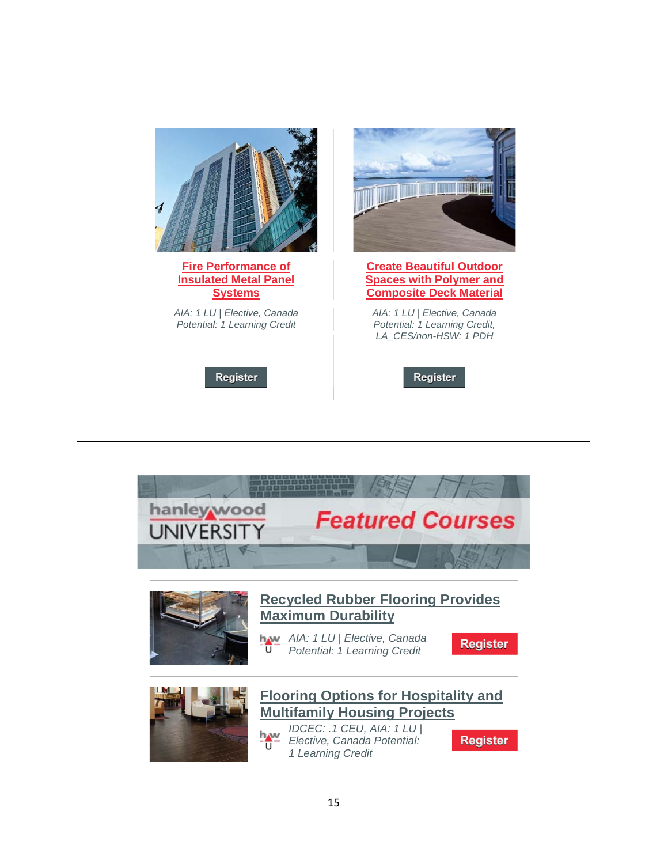

#### **[Fire Performance of](https://linkprotect.cudasvc.com/url?a=http%3a%2f%2fclick1.e.hanleywood-media.com%2fojqcrjsqtzldmlkjdkgljdsllsdlzmkcptwtnprkttkqq_mpnnqswlcnbsnpdtww.html%3fa%3dbesnard%2540dzco.com%26b%3dHWU_EBMGHWUN721155_Update_Newsletter_010920%2b%2b%255BCombo%2b%25232%255D&c=E,1,6zUbilFT1RpWJa61XkLw_jijColWJW7PoiH8_Ev7BugdSQv5uSYhPjYij0nz5Y5MPLtNeoyL3hAgQTFgG8kQraCPhRrYkj7sq9tv-rUc&typo=1)  Insulated [Metal Panel](https://linkprotect.cudasvc.com/url?a=http%3a%2f%2fclick1.e.hanleywood-media.com%2fojqcrjsqtzldmlkjdkgljdsllsdlzmkcptwtnprkttkqq_mpnnqswlcnbsnpdtww.html%3fa%3dbesnard%2540dzco.com%26b%3dHWU_EBMGHWUN721155_Update_Newsletter_010920%2b%2b%255BCombo%2b%25232%255D&c=E,1,6zUbilFT1RpWJa61XkLw_jijColWJW7PoiH8_Ev7BugdSQv5uSYhPjYij0nz5Y5MPLtNeoyL3hAgQTFgG8kQraCPhRrYkj7sq9tv-rUc&typo=1)  [Systems](https://linkprotect.cudasvc.com/url?a=http%3a%2f%2fclick1.e.hanleywood-media.com%2fojqcrjsqtzldmlkjdkgljdsllsdlzmkcptwtnprkttkqq_mpnnqswlcnbsnpdtww.html%3fa%3dbesnard%2540dzco.com%26b%3dHWU_EBMGHWUN721155_Update_Newsletter_010920%2b%2b%255BCombo%2b%25232%255D&c=E,1,6zUbilFT1RpWJa61XkLw_jijColWJW7PoiH8_Ev7BugdSQv5uSYhPjYij0nz5Y5MPLtNeoyL3hAgQTFgG8kQraCPhRrYkj7sq9tv-rUc&typo=1)**

*AIA: 1 LU | Elective, Canada Potential: 1 Learning Credit*



**[Create Beautiful Outdoor](https://linkprotect.cudasvc.com/url?a=http%3a%2f%2fclick1.e.hanleywood-media.com%2fgtkjlgsmcytdntkgdkqtgdsttsdtynkjfcrcpflkccrwy_mpnnqswlcnbsnpdtww.html%3fa%3dbesnard%2540dzco.com%26b%3dHWU_EBMGHWUN721155_Update_Newsletter_010920%2b%2b%255BCombo%2b%25232%255D&c=E,1,pQ2Jo3QsO8HVa9X7_cy5cwVIOFy1SwAA57Lr6rX7vlW3tlGfGd-j1GnfEg7PrqwckwclEdbdHRE5ncRX3iqbmGgLsvJ_lXwv4cDkxLl32CRHohOQcQ,,&typo=1)  [Spaces with Polymer and](https://linkprotect.cudasvc.com/url?a=http%3a%2f%2fclick1.e.hanleywood-media.com%2fgtkjlgsmcytdntkgdkqtgdsttsdtynkjfcrcpflkccrwy_mpnnqswlcnbsnpdtww.html%3fa%3dbesnard%2540dzco.com%26b%3dHWU_EBMGHWUN721155_Update_Newsletter_010920%2b%2b%255BCombo%2b%25232%255D&c=E,1,pQ2Jo3QsO8HVa9X7_cy5cwVIOFy1SwAA57Lr6rX7vlW3tlGfGd-j1GnfEg7PrqwckwclEdbdHRE5ncRX3iqbmGgLsvJ_lXwv4cDkxLl32CRHohOQcQ,,&typo=1)  [Composite Deck Material](https://linkprotect.cudasvc.com/url?a=http%3a%2f%2fclick1.e.hanleywood-media.com%2fgtkjlgsmcytdntkgdkqtgdsttsdtynkjfcrcpflkccrwy_mpnnqswlcnbsnpdtww.html%3fa%3dbesnard%2540dzco.com%26b%3dHWU_EBMGHWUN721155_Update_Newsletter_010920%2b%2b%255BCombo%2b%25232%255D&c=E,1,pQ2Jo3QsO8HVa9X7_cy5cwVIOFy1SwAA57Lr6rX7vlW3tlGfGd-j1GnfEg7PrqwckwclEdbdHRE5ncRX3iqbmGgLsvJ_lXwv4cDkxLl32CRHohOQcQ,,&typo=1)**

*AIA: 1 LU | Elective, Canada Potential: 1 Learning Credit, LA\_CES/non-HSW: 1 PDH*

Register